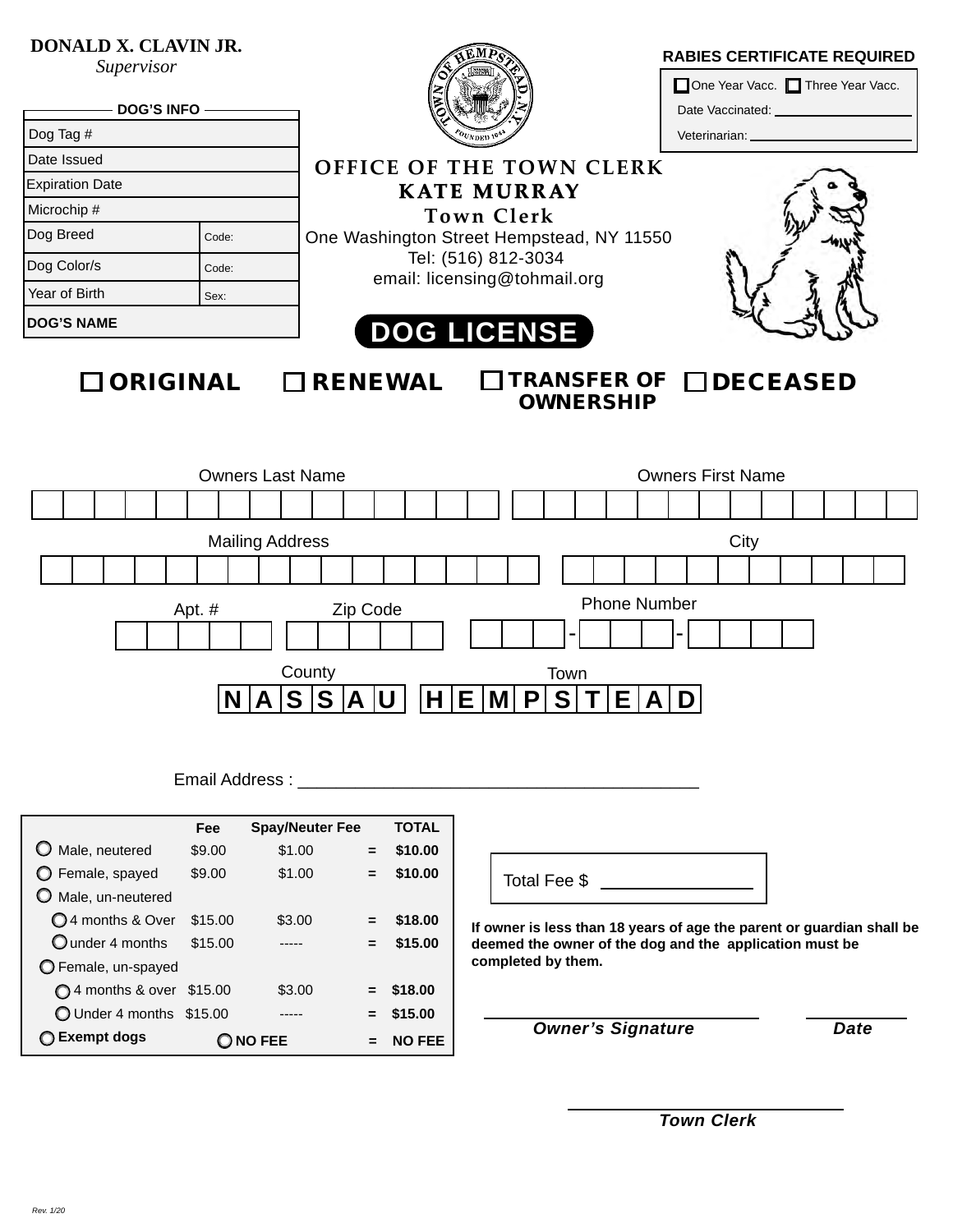## **DONALD X. CLAVIN JR.**

*Supervisor*

| <b>DOG'S INFO -</b>    |       |                | One Year Vacc. Three Year Vacc.                                                                  |                                    |  |  |  |  |  |  |  |
|------------------------|-------|----------------|--------------------------------------------------------------------------------------------------|------------------------------------|--|--|--|--|--|--|--|
| Dog Tag #              |       |                | Veterinarian: ________________                                                                   |                                    |  |  |  |  |  |  |  |
| Date Issued            |       |                | OFFICE OF THE TOWN CLERK                                                                         |                                    |  |  |  |  |  |  |  |
| <b>Expiration Date</b> |       |                | <b>KATE MURRAY</b>                                                                               |                                    |  |  |  |  |  |  |  |
| Microchip #            |       |                | Town Clerk                                                                                       |                                    |  |  |  |  |  |  |  |
| Dog Breed              | Code: |                | One Washington Street Hempstead, NY 11550<br>Tel: (516) 812-3034<br>email: licensing@tohmail.org |                                    |  |  |  |  |  |  |  |
| Dog Color/s            | Code: |                |                                                                                                  |                                    |  |  |  |  |  |  |  |
| Year of Birth          | Sex:  |                |                                                                                                  |                                    |  |  |  |  |  |  |  |
| <b>DOG'S NAME</b>      |       |                | <b>DOG LICENSE</b>                                                                               |                                    |  |  |  |  |  |  |  |
| $\Box$ ORIGINAL        |       | $\Box$ RENEWAL | <b>OWNERSHIP</b>                                                                                 | $\Box$ TRANSFER OF $\Box$ DECEASED |  |  |  |  |  |  |  |

| <b>Owners Last Name</b> |                                                                  |  |  |  |  |  |  |   |   |  |  | <b>Owners First Name</b> |    |   |  |   |    |  |      |  |  |   |  |  |  |  |  |  |
|-------------------------|------------------------------------------------------------------|--|--|--|--|--|--|---|---|--|--|--------------------------|----|---|--|---|----|--|------|--|--|---|--|--|--|--|--|--|
|                         |                                                                  |  |  |  |  |  |  |   |   |  |  |                          |    |   |  |   |    |  |      |  |  |   |  |  |  |  |  |  |
| <b>Mailing Address</b>  |                                                                  |  |  |  |  |  |  |   |   |  |  |                          |    |   |  |   |    |  | City |  |  |   |  |  |  |  |  |  |
|                         |                                                                  |  |  |  |  |  |  |   |   |  |  |                          |    |   |  |   |    |  |      |  |  |   |  |  |  |  |  |  |
|                         | <b>Phone Number</b><br>Zip Code<br>Apt. #<br>$\blacksquare$<br>۰ |  |  |  |  |  |  |   |   |  |  |                          |    |   |  |   |    |  |      |  |  |   |  |  |  |  |  |  |
|                         | County<br>Town                                                   |  |  |  |  |  |  |   |   |  |  |                          |    |   |  |   |    |  |      |  |  |   |  |  |  |  |  |  |
|                         |                                                                  |  |  |  |  |  |  | e | е |  |  |                          | F. | M |  | P | S. |  |      |  |  | D |  |  |  |  |  |  |

Email Address :

|                           | Fee     | <b>Spay/Neuter Fee</b> |     | <b>TOTAL</b>  |
|---------------------------|---------|------------------------|-----|---------------|
| Male, neutered            | \$9.00  | \$1.00                 | Ξ.  | \$10.00       |
| $\bigcirc$ Female, spayed | \$9.00  | \$1.00                 | $=$ | \$10.00       |
| O Male, un-neutered       |         |                        |     |               |
| 14 months & Over          | \$15.00 | \$3.00                 | $=$ | \$18.00       |
| Qunder 4 months           | \$15.00 |                        | =   | \$15.00       |
| O Female, un-spayed       |         |                        |     |               |
| ◯ 4 months & over \$15.00 |         | \$3.00                 | Ξ.  | \$18.00       |
| Under 4 months \$15.00    |         |                        | Ξ   | \$15.00       |
| Exempt dogs               |         | O FEE                  |     | <b>NO FEE</b> |



**If owner is less than 18 years of age the parent or guardian shall be deemed the owner of the dog and the application must be completed by them.**

*Owner's Signature Date*

*Town Clerk*